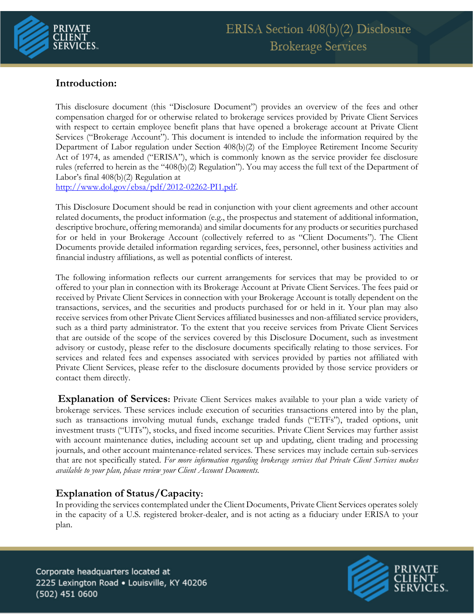

# **Introduction:**

This disclosure document (this "Disclosure Document") provides an overview of the fees and other compensation charged for or otherwise related to brokerage services provided by Private Client Services with respect to certain employee benefit plans that have opened a brokerage account at Private Client Services ("Brokerage Account"). This document is intended to include the information required by the Department of Labor regulation under Section 408(b)(2) of the Employee Retirement Income Security Act of 1974, as amended ("ERISA"), which is commonly known as the service provider fee disclosure rules (referred to herein as the "408(b)(2) Regulation"). You may access the full text of the Department of Labor's final 408(b)(2) Regulation at

[http://www.dol.gov/ebsa/pdf/2012-02262-PI1.pdf.](http://www.dol.gov/ebsa/pdf/2012-02262-PI1.pdf)

This Disclosure Document should be read in conjunction with your client agreements and other account related documents, the product information (e.g., the prospectus and statement of additional information, descriptive brochure, offering memoranda) and similar documents for any products or securities purchased for or held in your Brokerage Account (collectively referred to as "Client Documents"). The Client Documents provide detailed information regarding services, fees, personnel, other business activities and financial industry affiliations, as well as potential conflicts of interest.

The following information reflects our current arrangements for services that may be provided to or offered to your plan in connection with its Brokerage Account at Private Client Services. The fees paid or received by Private Client Services in connection with your Brokerage Account is totally dependent on the transactions, services, and the securities and products purchased for or held in it. Your plan may also receive services from other Private Client Services affiliated businesses and non-affiliated service providers, such as a third party administrator. To the extent that you receive services from Private Client Services that are outside of the scope of the services covered by this Disclosure Document, such as investment advisory or custody, please refer to the disclosure documents specifically relating to those services. For services and related fees and expenses associated with services provided by parties not affiliated with Private Client Services, please refer to the disclosure documents provided by those service providers or contact them directly.

**Explanation of Services:** Private Client Services makes available to your plan a wide variety of brokerage services. These services include execution of securities transactions entered into by the plan, such as transactions involving mutual funds, exchange traded funds ("ETFs"), traded options, unit investment trusts ("UITs"), stocks, and fixed income securities. Private Client Services may further assist with account maintenance duties, including account set up and updating, client trading and processing journals, and other account maintenance-related services. These services may include certain sub-services that are not specifically stated. *For more information regarding brokerage services that Private Client Services makes available to your plan, please review your Client Account Documents.* 

# **Explanation of Status/Capacity:**

In providing the services contemplated under the Client Documents, Private Client Services operates solely in the capacity of a U.S. registered broker-dealer, and is not acting as a fiduciary under ERISA to your plan.

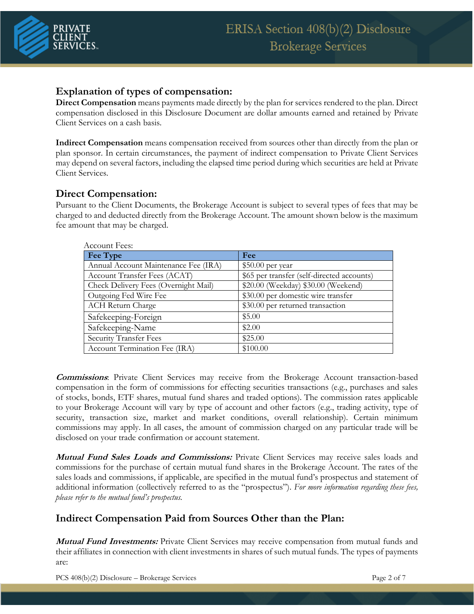

### **Explanation of types of compensation:**

**Direct Compensation** means payments made directly by the plan for services rendered to the plan. Direct compensation disclosed in this Disclosure Document are dollar amounts earned and retained by Private Client Services on a cash basis.

**Indirect Compensation** means compensation received from sources other than directly from the plan or plan sponsor. In certain circumstances, the payment of indirect compensation to Private Client Services may depend on several factors, including the elapsed time period during which securities are held at Private Client Services.

### **Direct Compensation:**

Pursuant to the Client Documents, the Brokerage Account is subject to several types of fees that may be charged to and deducted directly from the Brokerage Account. The amount shown below is the maximum fee amount that may be charged.

| Account Fees:                        |                                            |
|--------------------------------------|--------------------------------------------|
| Fee Type                             | Fee                                        |
| Annual Account Maintenance Fee (IRA) | $$50.00$ per year                          |
| Account Transfer Fees (ACAT)         | \$65 per transfer (self-directed accounts) |
| Check Delivery Fees (Overnight Mail) | \$20.00 (Weekday) \$30.00 (Weekend)        |
| Outgoing Fed Wire Fee                | \$30.00 per domestic wire transfer         |
| <b>ACH Return Charge</b>             | \$30.00 per returned transaction           |
| Safekeeping-Foreign                  | \$5.00                                     |
| Safekeeping-Name                     | \$2.00                                     |
| <b>Security Transfer Fees</b>        | \$25.00                                    |
| Account Termination Fee (IRA)        | \$100.00                                   |

**Commissions**: Private Client Services may receive from the Brokerage Account transaction-based compensation in the form of commissions for effecting securities transactions (e.g., purchases and sales of stocks, bonds, ETF shares, mutual fund shares and traded options). The commission rates applicable to your Brokerage Account will vary by type of account and other factors (e.g., trading activity, type of security, transaction size, market and market conditions, overall relationship). Certain minimum commissions may apply. In all cases, the amount of commission charged on any particular trade will be disclosed on your trade confirmation or account statement.

**Mutual Fund Sales Loads and Commissions:** Private Client Services may receive sales loads and commissions for the purchase of certain mutual fund shares in the Brokerage Account. The rates of the sales loads and commissions, if applicable, are specified in the mutual fund's prospectus and statement of additional information (collectively referred to as the "prospectus"). *For more information regarding these fees, please refer to the mutual fund's prospectus.* 

## **Indirect Compensation Paid from Sources Other than the Plan:**

**Mutual Fund Investments:** Private Client Services may receive compensation from mutual funds and their affiliates in connection with client investments in shares of such mutual funds. The types of payments are:

PCS 408(b)(2) Disclosure – Brokerage Services Page 2 of 7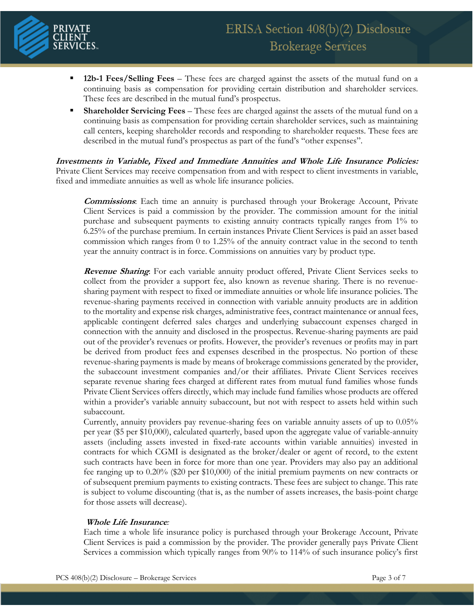

- 12b-1 Fees/Selling Fees These fees are charged against the assets of the mutual fund on a continuing basis as compensation for providing certain distribution and shareholder services. These fees are described in the mutual fund's prospectus.
- **Shareholder Servicing Fees** These fees are charged against the assets of the mutual fund on a continuing basis as compensation for providing certain shareholder services, such as maintaining call centers, keeping shareholder records and responding to shareholder requests. These fees are described in the mutual fund's prospectus as part of the fund's "other expenses".

**Investments in Variable, Fixed and Immediate Annuities and Whole Life Insurance Policies:**  Private Client Services may receive compensation from and with respect to client investments in variable, fixed and immediate annuities as well as whole life insurance policies.

**Commissions**: Each time an annuity is purchased through your Brokerage Account, Private Client Services is paid a commission by the provider. The commission amount for the initial purchase and subsequent payments to existing annuity contracts typically ranges from 1% to 6.25% of the purchase premium. In certain instances Private Client Services is paid an asset based commission which ranges from 0 to 1.25% of the annuity contract value in the second to tenth year the annuity contract is in force. Commissions on annuities vary by product type.

**Revenue Sharing**: For each variable annuity product offered, Private Client Services seeks to collect from the provider a support fee, also known as revenue sharing. There is no revenuesharing payment with respect to fixed or immediate annuities or whole life insurance policies. The revenue-sharing payments received in connection with variable annuity products are in addition to the mortality and expense risk charges, administrative fees, contract maintenance or annual fees, applicable contingent deferred sales charges and underlying subaccount expenses charged in connection with the annuity and disclosed in the prospectus. Revenue-sharing payments are paid out of the provider's revenues or profits. However, the provider's revenues or profits may in part be derived from product fees and expenses described in the prospectus. No portion of these revenue-sharing payments is made by means of brokerage commissions generated by the provider, the subaccount investment companies and/or their affiliates. Private Client Services receives separate revenue sharing fees charged at different rates from mutual fund families whose funds Private Client Services offers directly, which may include fund families whose products are offered within a provider's variable annuity subaccount, but not with respect to assets held within such subaccount.

Currently, annuity providers pay revenue-sharing fees on variable annuity assets of up to 0.05% per year (\$5 per \$10,000), calculated quarterly, based upon the aggregate value of variable-annuity assets (including assets invested in fixed-rate accounts within variable annuities) invested in contracts for which CGMI is designated as the broker/dealer or agent of record, to the extent such contracts have been in force for more than one year. Providers may also pay an additional fee ranging up to 0.20% (\$20 per \$10,000) of the initial premium payments on new contracts or of subsequent premium payments to existing contracts. These fees are subject to change. This rate is subject to volume discounting (that is, as the number of assets increases, the basis-point charge for those assets will decrease).

#### **Whole Life Insurance***:*

Each time a whole life insurance policy is purchased through your Brokerage Account, Private Client Services is paid a commission by the provider. The provider generally pays Private Client Services a commission which typically ranges from 90% to 114% of such insurance policy's first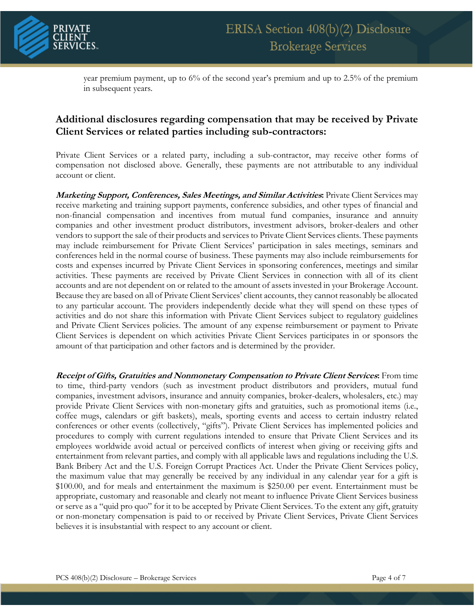

year premium payment, up to 6% of the second year's premium and up to 2.5% of the premium in subsequent years.

## **Additional disclosures regarding compensation that may be received by Private Client Services or related parties including sub-contractors:**

Private Client Services or a related party, including a sub-contractor, may receive other forms of compensation not disclosed above. Generally, these payments are not attributable to any individual account or client.

**Marketing Support, Conferences, Sales Meetings, and Similar Activities:** Private Client Services may receive marketing and training support payments, conference subsidies, and other types of financial and non-financial compensation and incentives from mutual fund companies, insurance and annuity companies and other investment product distributors, investment advisors, broker-dealers and other vendors to support the sale of their products and services to Private Client Services clients. These payments may include reimbursement for Private Client Services' participation in sales meetings, seminars and conferences held in the normal course of business. These payments may also include reimbursements for costs and expenses incurred by Private Client Services in sponsoring conferences, meetings and similar activities. These payments are received by Private Client Services in connection with all of its client accounts and are not dependent on or related to the amount of assets invested in your Brokerage Account. Because they are based on all of Private Client Services' client accounts, they cannot reasonably be allocated to any particular account. The providers independently decide what they will spend on these types of activities and do not share this information with Private Client Services subject to regulatory guidelines and Private Client Services policies. The amount of any expense reimbursement or payment to Private Client Services is dependent on which activities Private Client Services participates in or sponsors the amount of that participation and other factors and is determined by the provider.

**Receipt of Gifts, Gratuities and Nonmonetary Compensation to Private Client Services:** From time to time, third-party vendors (such as investment product distributors and providers, mutual fund companies, investment advisors, insurance and annuity companies, broker-dealers, wholesalers, etc.) may provide Private Client Services with non-monetary gifts and gratuities, such as promotional items (i.e., coffee mugs, calendars or gift baskets), meals, sporting events and access to certain industry related conferences or other events (collectively, "gifts"). Private Client Services has implemented policies and procedures to comply with current regulations intended to ensure that Private Client Services and its employees worldwide avoid actual or perceived conflicts of interest when giving or receiving gifts and entertainment from relevant parties, and comply with all applicable laws and regulations including the U.S. Bank Bribery Act and the U.S. Foreign Corrupt Practices Act. Under the Private Client Services policy, the maximum value that may generally be received by any individual in any calendar year for a gift is \$100.00, and for meals and entertainment the maximum is \$250.00 per event. Entertainment must be appropriate, customary and reasonable and clearly not meant to influence Private Client Services business or serve as a "quid pro quo" for it to be accepted by Private Client Services. To the extent any gift, gratuity or non-monetary compensation is paid to or received by Private Client Services, Private Client Services believes it is insubstantial with respect to any account or client.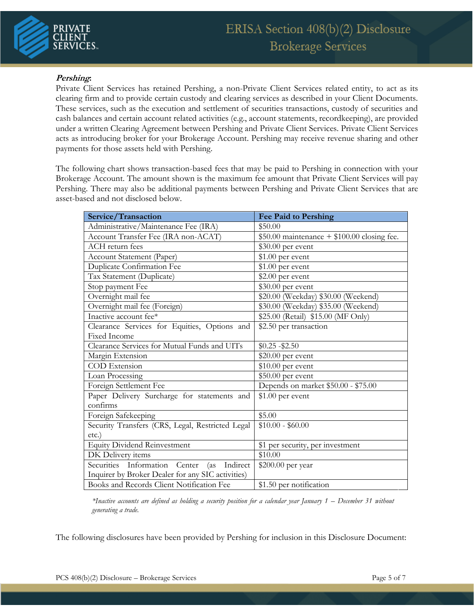#### **Pershing:**

Private Client Services has retained Pershing, a non-Private Client Services related entity, to act as its clearing firm and to provide certain custody and clearing services as described in your Client Documents. These services, such as the execution and settlement of securities transactions, custody of securities and cash balances and certain account related activities (e.g., account statements, recordkeeping), are provided under a written Clearing Agreement between Pershing and Private Client Services. Private Client Services acts as introducing broker for your Brokerage Account. Pershing may receive revenue sharing and other payments for those assets held with Pershing.

The following chart shows transaction-based fees that may be paid to Pershing in connection with your Brokerage Account. The amount shown is the maximum fee amount that Private Client Services will pay Pershing. There may also be additional payments between Pershing and Private Client Services that are asset-based and not disclosed below.

| Service/Transaction                               | <b>Fee Paid to Pershing</b>                  |
|---------------------------------------------------|----------------------------------------------|
| Administrative/Maintenance Fee (IRA)              | \$50.00                                      |
| Account Transfer Fee (IRA non-ACAT)               | $$50.00$ maintenance + \$100.00 closing fee. |
| ACH return fees                                   | \$30.00 per event                            |
| Account Statement (Paper)                         | $$1.00$ per event                            |
| <b>Duplicate Confirmation Fee</b>                 | $$1.00$ per event                            |
| Tax Statement (Duplicate)                         | \$2.00 per event                             |
| Stop payment Fee                                  | \$30.00 per event                            |
| Overnight mail fee                                | \$20.00 (Weekday) \$30.00 (Weekend)          |
| Overnight mail fee (Foreign)                      | \$30.00 (Weekday) \$35.00 (Weekend)          |
| Inactive account fee*                             | \$25.00 (Retail) \$15.00 (MF Only)           |
| Clearance Services for Equities, Options and      | \$2.50 per transaction                       |
| <b>Fixed Income</b>                               |                                              |
| Clearance Services for Mutual Funds and UITs      | $$0.25 - $2.50$                              |
| Margin Extension                                  | \$20.00 per event                            |
| COD Extension                                     | $$10.00$ per event                           |
| Loan Processing                                   | \$50.00 per event                            |
| Foreign Settlement Fee                            | Depends on market \$50.00 - \$75.00          |
| Paper Delivery Surcharge for statements and       | $$1.00$ per event                            |
| confirms                                          |                                              |
| Foreign Safekeeping                               | \$5.00                                       |
| Security Transfers (CRS, Legal, Restricted Legal  | $$10.00 - $60.00$                            |
| $etc.$ )                                          |                                              |
| <b>Equity Dividend Reinvestment</b>               | \$1 per security, per investment             |
| DK Delivery items                                 | \$10.00                                      |
| Securities Information Center<br>Indirect<br>(as  | \$200.00 per year                            |
| Inquirer by Broker Dealer for any SIC activities) |                                              |
| Books and Records Client Notification Fee         | \$1.50 per notification                      |

*\*Inactive accounts are defined as holding a security position for a calendar year January 1 – December 31 without generating a trade.* 

The following disclosures have been provided by Pershing for inclusion in this Disclosure Document: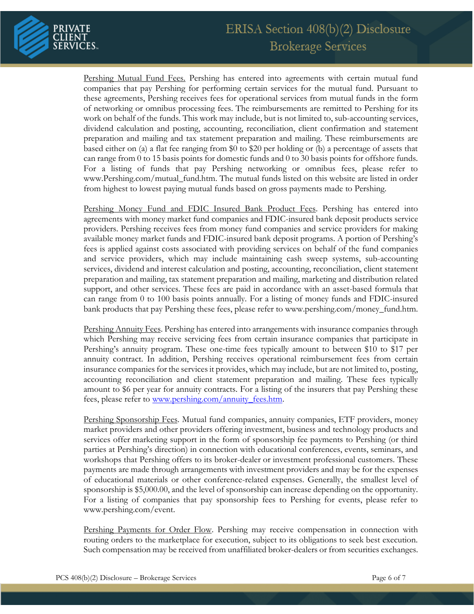

Pershing Mutual Fund Fees. Pershing has entered into agreements with certain mutual fund companies that pay Pershing for performing certain services for the mutual fund. Pursuant to these agreements, Pershing receives fees for operational services from mutual funds in the form of networking or omnibus processing fees. The reimbursements are remitted to Pershing for its work on behalf of the funds. This work may include, but is not limited to, sub-accounting services, dividend calculation and posting, accounting, reconciliation, client confirmation and statement preparation and mailing and tax statement preparation and mailing. These reimbursements are based either on (a) a flat fee ranging from \$0 to \$20 per holding or (b) a percentage of assets that can range from 0 to 15 basis points for domestic funds and 0 to 30 basis points for offshore funds. For a listing of funds that pay Pershing networking or omnibus fees, please refer to www.Pershing.com/mutual\_fund.htm. The mutual funds listed on this website are listed in order from highest to lowest paying mutual funds based on gross payments made to Pershing.

Pershing Money Fund and FDIC Insured Bank Product Fees. Pershing has entered into agreements with money market fund companies and FDIC-insured bank deposit products service providers. Pershing receives fees from money fund companies and service providers for making available money market funds and FDIC-insured bank deposit programs. A portion of Pershing's fees is applied against costs associated with providing services on behalf of the fund companies and service providers, which may include maintaining cash sweep systems, sub-accounting services, dividend and interest calculation and posting, accounting, reconciliation, client statement preparation and mailing, tax statement preparation and mailing, marketing and distribution related support, and other services. These fees are paid in accordance with an asset-based formula that can range from 0 to 100 basis points annually. For a listing of money funds and FDIC-insured bank products that pay Pershing these fees, please refer to www.pershing.com/money\_fund.htm.

Pershing Annuity Fees. Pershing has entered into arrangements with insurance companies through which Pershing may receive servicing fees from certain insurance companies that participate in Pershing's annuity program. These one-time fees typically amount to between \$10 to \$17 per annuity contract. In addition, Pershing receives operational reimbursement fees from certain insurance companies for the services it provides, which may include, but are not limited to, posting, accounting reconciliation and client statement preparation and mailing. These fees typically amount to \$6 per year for annuity contracts. For a listing of the insurers that pay Pershing these fees, please refer to [www.pershing.com/annuity\\_fees.htm.](http://www.pershing.com/annuity_fees.htm)

Pershing Sponsorship Fees. Mutual fund companies, annuity companies, ETF providers, money market providers and other providers offering investment, business and technology products and services offer marketing support in the form of sponsorship fee payments to Pershing (or third parties at Pershing's direction) in connection with educational conferences, events, seminars, and workshops that Pershing offers to its broker-dealer or investment professional customers. These payments are made through arrangements with investment providers and may be for the expenses of educational materials or other conference-related expenses. Generally, the smallest level of sponsorship is \$5,000.00, and the level of sponsorship can increase depending on the opportunity. For a listing of companies that pay sponsorship fees to Pershing for events, please refer to www.pershing.com/event.

Pershing Payments for Order Flow. Pershing may receive compensation in connection with routing orders to the marketplace for execution, subject to its obligations to seek best execution. Such compensation may be received from unaffiliated broker-dealers or from securities exchanges.